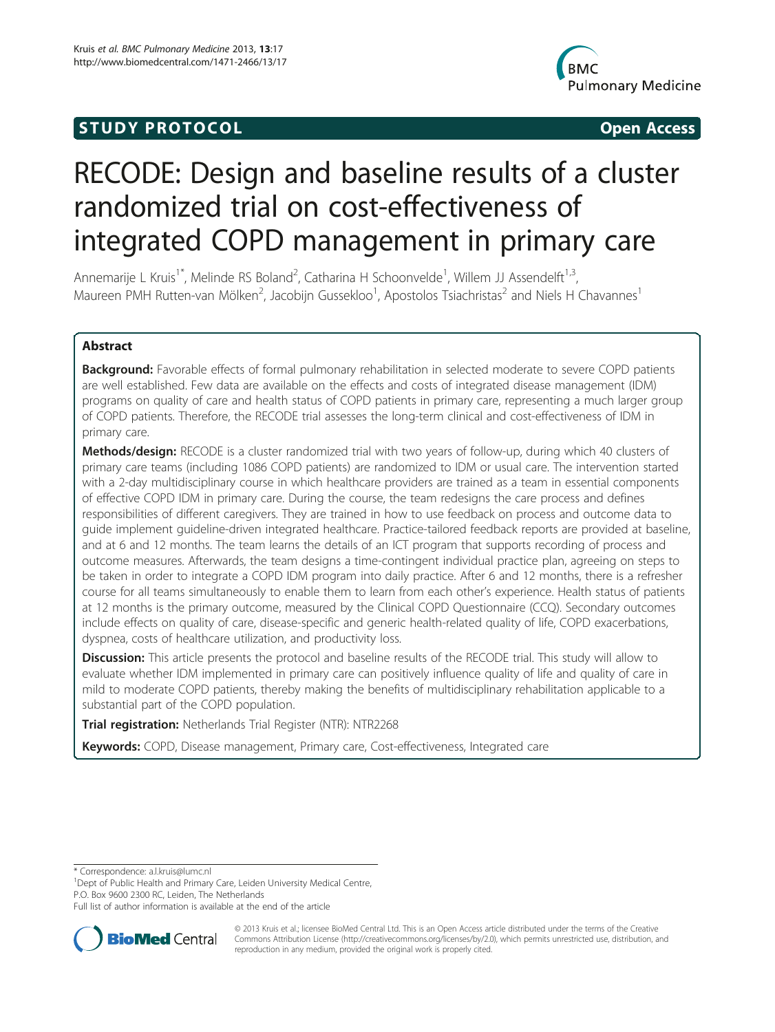## **STUDY PROTOCOL CONSUMING THE STUDY PROTOCOL**



# RECODE: Design and baseline results of a cluster randomized trial on cost-effectiveness of integrated COPD management in primary care

Annemarije L Kruis<sup>1\*</sup>, Melinde RS Boland<sup>2</sup>, Catharina H Schoonvelde<sup>1</sup>, Willem JJ Assendelft<sup>1,3</sup>, Maureen PMH Rutten-van Mölken<sup>2</sup>, Jacobijn Gussekloo<sup>1</sup>, Apostolos Tsiachristas<sup>2</sup> and Niels H Chavannes<sup>1</sup>

## Abstract

**Background:** Favorable effects of formal pulmonary rehabilitation in selected moderate to severe COPD patients are well established. Few data are available on the effects and costs of integrated disease management (IDM) programs on quality of care and health status of COPD patients in primary care, representing a much larger group of COPD patients. Therefore, the RECODE trial assesses the long-term clinical and cost-effectiveness of IDM in primary care.

Methods/design: RECODE is a cluster randomized trial with two years of follow-up, during which 40 clusters of primary care teams (including 1086 COPD patients) are randomized to IDM or usual care. The intervention started with a 2-day multidisciplinary course in which healthcare providers are trained as a team in essential components of effective COPD IDM in primary care. During the course, the team redesigns the care process and defines responsibilities of different caregivers. They are trained in how to use feedback on process and outcome data to guide implement guideline-driven integrated healthcare. Practice-tailored feedback reports are provided at baseline, and at 6 and 12 months. The team learns the details of an ICT program that supports recording of process and outcome measures. Afterwards, the team designs a time-contingent individual practice plan, agreeing on steps to be taken in order to integrate a COPD IDM program into daily practice. After 6 and 12 months, there is a refresher course for all teams simultaneously to enable them to learn from each other's experience. Health status of patients at 12 months is the primary outcome, measured by the Clinical COPD Questionnaire (CCQ). Secondary outcomes include effects on quality of care, disease-specific and generic health-related quality of life, COPD exacerbations, dyspnea, costs of healthcare utilization, and productivity loss.

Discussion: This article presents the protocol and baseline results of the RECODE trial. This study will allow to evaluate whether IDM implemented in primary care can positively influence quality of life and quality of care in mild to moderate COPD patients, thereby making the benefits of multidisciplinary rehabilitation applicable to a substantial part of the COPD population.

Trial registration: Netherlands Trial Register (NTR): [NTR2268](http://www.trialregister.nl/trialreg/admin/rctview.asp?TC=2268)

Keywords: COPD, Disease management, Primary care, Cost-effectiveness, Integrated care

\* Correspondence: [a.l.kruis@lumc.nl](mailto:a.l.kruis@lumc.nl) <sup>1</sup>

<sup>1</sup>Dept of Public Health and Primary Care, Leiden University Medical Centre, P.O. Box 9600 2300 RC, Leiden, The Netherlands

Full list of author information is available at the end of the article



© 2013 Kruis et al.; licensee BioMed Central Ltd. This is an Open Access article distributed under the terms of the Creative Commons Attribution License [\(http://creativecommons.org/licenses/by/2.0\)](http://creativecommons.org/licenses/by/2.0), which permits unrestricted use, distribution, and reproduction in any medium, provided the original work is properly cited.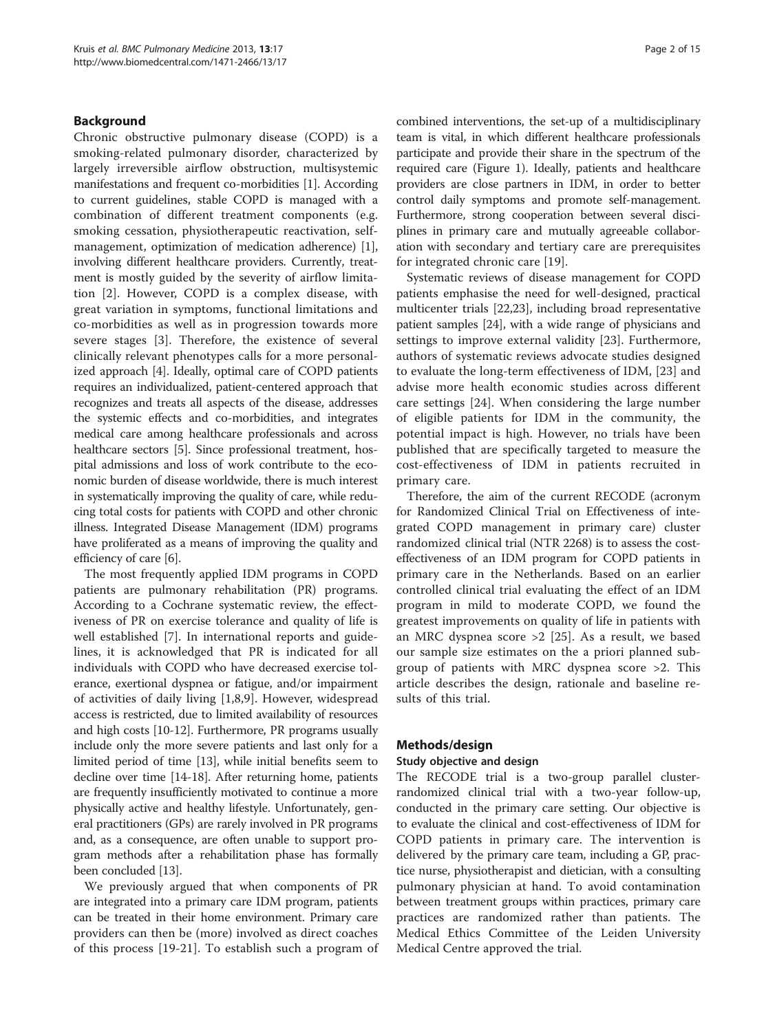#### Background

Chronic obstructive pulmonary disease (COPD) is a smoking-related pulmonary disorder, characterized by largely irreversible airflow obstruction, multisystemic manifestations and frequent co-morbidities [\[1\]](#page-13-0). According to current guidelines, stable COPD is managed with a combination of different treatment components (e.g. smoking cessation, physiotherapeutic reactivation, selfmanagement, optimization of medication adherence) [[1](#page-13-0)], involving different healthcare providers. Currently, treatment is mostly guided by the severity of airflow limitation [[2\]](#page-13-0). However, COPD is a complex disease, with great variation in symptoms, functional limitations and co-morbidities as well as in progression towards more severe stages [\[3](#page-13-0)]. Therefore, the existence of several clinically relevant phenotypes calls for a more personalized approach [\[4\]](#page-13-0). Ideally, optimal care of COPD patients requires an individualized, patient-centered approach that recognizes and treats all aspects of the disease, addresses the systemic effects and co-morbidities, and integrates medical care among healthcare professionals and across healthcare sectors [[5](#page-13-0)]. Since professional treatment, hospital admissions and loss of work contribute to the economic burden of disease worldwide, there is much interest in systematically improving the quality of care, while reducing total costs for patients with COPD and other chronic illness. Integrated Disease Management (IDM) programs have proliferated as a means of improving the quality and efficiency of care [\[6](#page-13-0)].

The most frequently applied IDM programs in COPD patients are pulmonary rehabilitation (PR) programs. According to a Cochrane systematic review, the effectiveness of PR on exercise tolerance and quality of life is well established [\[7\]](#page-13-0). In international reports and guidelines, it is acknowledged that PR is indicated for all individuals with COPD who have decreased exercise tolerance, exertional dyspnea or fatigue, and/or impairment of activities of daily living [[1,8](#page-13-0),[9\]](#page-13-0). However, widespread access is restricted, due to limited availability of resources and high costs [[10](#page-13-0)-[12](#page-13-0)]. Furthermore, PR programs usually include only the more severe patients and last only for a limited period of time [[13\]](#page-13-0), while initial benefits seem to decline over time [\[14-18\]](#page-13-0). After returning home, patients are frequently insufficiently motivated to continue a more physically active and healthy lifestyle. Unfortunately, general practitioners (GPs) are rarely involved in PR programs and, as a consequence, are often unable to support program methods after a rehabilitation phase has formally been concluded [\[13\]](#page-13-0).

We previously argued that when components of PR are integrated into a primary care IDM program, patients can be treated in their home environment. Primary care providers can then be (more) involved as direct coaches of this process [[19-21\]](#page-13-0). To establish such a program of

combined interventions, the set-up of a multidisciplinary team is vital, in which different healthcare professionals participate and provide their share in the spectrum of the required care (Figure [1\)](#page-2-0). Ideally, patients and healthcare providers are close partners in IDM, in order to better control daily symptoms and promote self-management. Furthermore, strong cooperation between several disciplines in primary care and mutually agreeable collaboration with secondary and tertiary care are prerequisites for integrated chronic care [\[19](#page-13-0)].

Systematic reviews of disease management for COPD patients emphasise the need for well-designed, practical multicenter trials [\[22,23\]](#page-13-0), including broad representative patient samples [\[24\]](#page-13-0), with a wide range of physicians and settings to improve external validity [\[23](#page-13-0)]. Furthermore, authors of systematic reviews advocate studies designed to evaluate the long-term effectiveness of IDM, [\[23](#page-13-0)] and advise more health economic studies across different care settings [[24\]](#page-13-0). When considering the large number of eligible patients for IDM in the community, the potential impact is high. However, no trials have been published that are specifically targeted to measure the cost-effectiveness of IDM in patients recruited in primary care.

Therefore, the aim of the current RECODE (acronym for Randomized Clinical Trial on Effectiveness of integrated COPD management in primary care) cluster randomized clinical trial (NTR 2268) is to assess the costeffectiveness of an IDM program for COPD patients in primary care in the Netherlands. Based on an earlier controlled clinical trial evaluating the effect of an IDM program in mild to moderate COPD, we found the greatest improvements on quality of life in patients with an MRC dyspnea score >2 [\[25](#page-13-0)]. As a result, we based our sample size estimates on the a priori planned subgroup of patients with MRC dyspnea score >2. This article describes the design, rationale and baseline results of this trial.

#### Methods/design

#### Study objective and design

The RECODE trial is a two-group parallel clusterrandomized clinical trial with a two-year follow-up, conducted in the primary care setting. Our objective is to evaluate the clinical and cost-effectiveness of IDM for COPD patients in primary care. The intervention is delivered by the primary care team, including a GP, practice nurse, physiotherapist and dietician, with a consulting pulmonary physician at hand. To avoid contamination between treatment groups within practices, primary care practices are randomized rather than patients. The Medical Ethics Committee of the Leiden University Medical Centre approved the trial.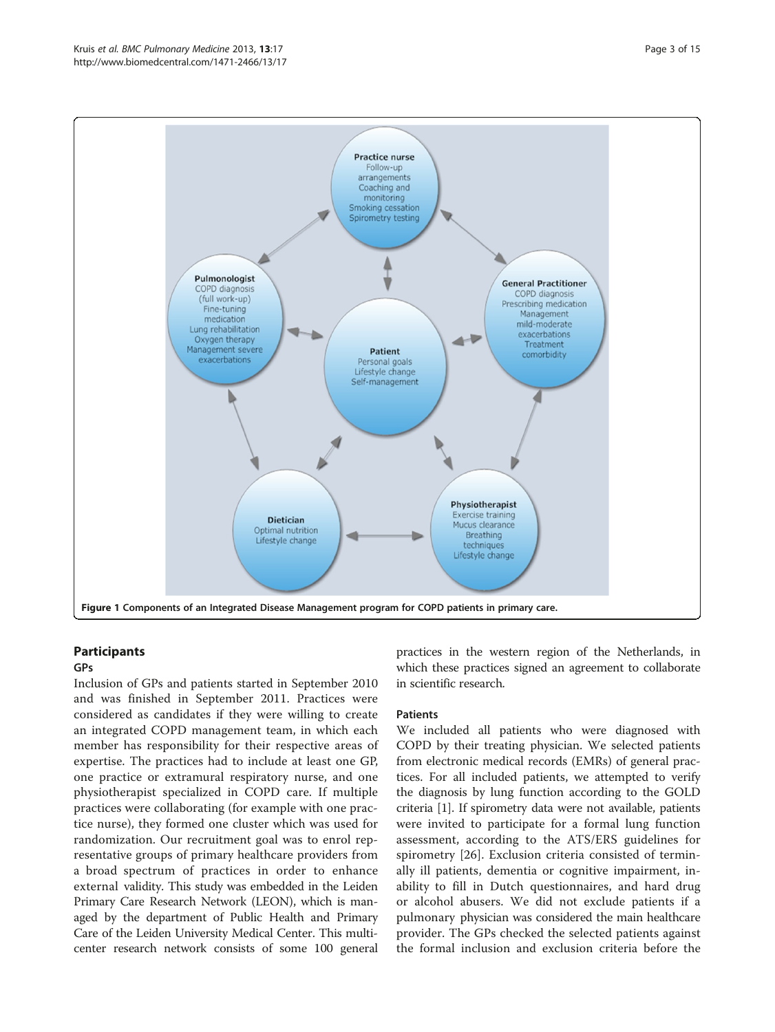<span id="page-2-0"></span>

## Participants

#### GPs

Inclusion of GPs and patients started in September 2010 and was finished in September 2011. Practices were considered as candidates if they were willing to create an integrated COPD management team, in which each member has responsibility for their respective areas of expertise. The practices had to include at least one GP, one practice or extramural respiratory nurse, and one physiotherapist specialized in COPD care. If multiple practices were collaborating (for example with one practice nurse), they formed one cluster which was used for randomization. Our recruitment goal was to enrol representative groups of primary healthcare providers from a broad spectrum of practices in order to enhance external validity. This study was embedded in the Leiden Primary Care Research Network (LEON), which is managed by the department of Public Health and Primary Care of the Leiden University Medical Center. This multicenter research network consists of some 100 general

practices in the western region of the Netherlands, in which these practices signed an agreement to collaborate in scientific research.

#### Patients

We included all patients who were diagnosed with COPD by their treating physician. We selected patients from electronic medical records (EMRs) of general practices. For all included patients, we attempted to verify the diagnosis by lung function according to the GOLD criteria [\[1](#page-13-0)]. If spirometry data were not available, patients were invited to participate for a formal lung function assessment, according to the ATS/ERS guidelines for spirometry [[26\]](#page-13-0). Exclusion criteria consisted of terminally ill patients, dementia or cognitive impairment, inability to fill in Dutch questionnaires, and hard drug or alcohol abusers. We did not exclude patients if a pulmonary physician was considered the main healthcare provider. The GPs checked the selected patients against the formal inclusion and exclusion criteria before the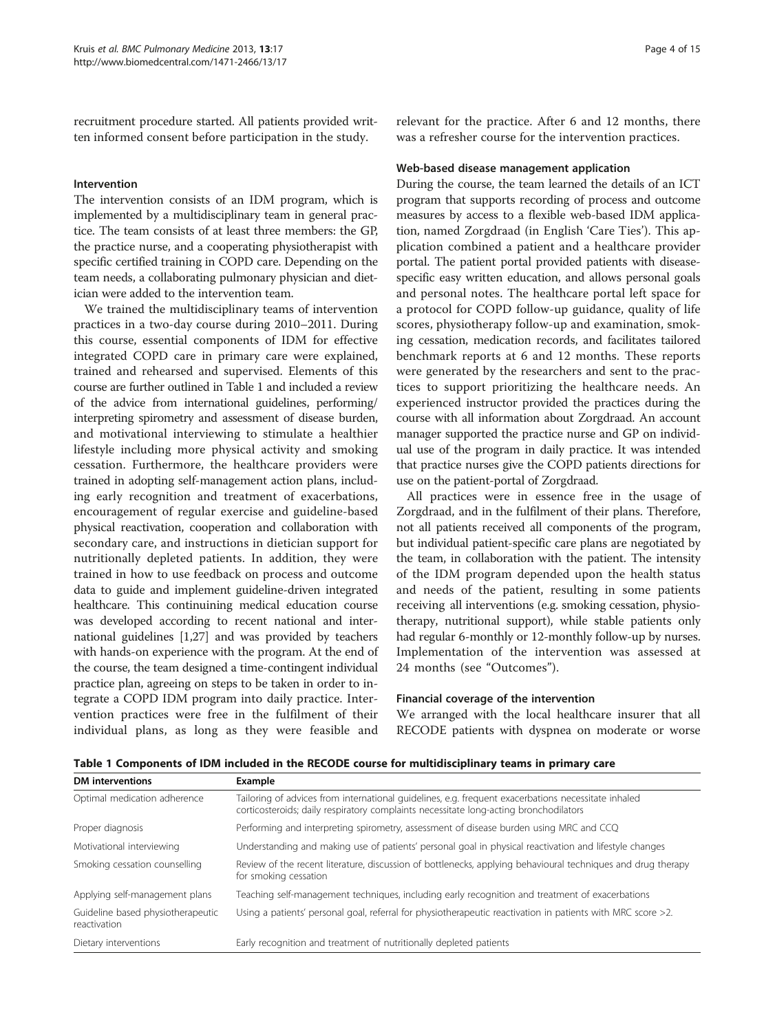<span id="page-3-0"></span>recruitment procedure started. All patients provided written informed consent before participation in the study.

#### Intervention

The intervention consists of an IDM program, which is implemented by a multidisciplinary team in general practice. The team consists of at least three members: the GP, the practice nurse, and a cooperating physiotherapist with specific certified training in COPD care. Depending on the team needs, a collaborating pulmonary physician and dietician were added to the intervention team.

We trained the multidisciplinary teams of intervention practices in a two-day course during 2010–2011. During this course, essential components of IDM for effective integrated COPD care in primary care were explained, trained and rehearsed and supervised. Elements of this course are further outlined in Table 1 and included a review of the advice from international guidelines, performing/ interpreting spirometry and assessment of disease burden, and motivational interviewing to stimulate a healthier lifestyle including more physical activity and smoking cessation. Furthermore, the healthcare providers were trained in adopting self-management action plans, including early recognition and treatment of exacerbations, encouragement of regular exercise and guideline-based physical reactivation, cooperation and collaboration with secondary care, and instructions in dietician support for nutritionally depleted patients. In addition, they were trained in how to use feedback on process and outcome data to guide and implement guideline-driven integrated healthcare. This continuining medical education course was developed according to recent national and international guidelines [\[1,27\]](#page-13-0) and was provided by teachers with hands-on experience with the program. At the end of the course, the team designed a time-contingent individual practice plan, agreeing on steps to be taken in order to integrate a COPD IDM program into daily practice. Intervention practices were free in the fulfilment of their individual plans, as long as they were feasible and

relevant for the practice. After 6 and 12 months, there was a refresher course for the intervention practices.

#### Web-based disease management application

During the course, the team learned the details of an ICT program that supports recording of process and outcome measures by access to a flexible web-based IDM application, named Zorgdraad (in English 'Care Ties'). This application combined a patient and a healthcare provider portal. The patient portal provided patients with diseasespecific easy written education, and allows personal goals and personal notes. The healthcare portal left space for a protocol for COPD follow-up guidance, quality of life scores, physiotherapy follow-up and examination, smoking cessation, medication records, and facilitates tailored benchmark reports at 6 and 12 months. These reports were generated by the researchers and sent to the practices to support prioritizing the healthcare needs. An experienced instructor provided the practices during the course with all information about Zorgdraad. An account manager supported the practice nurse and GP on individual use of the program in daily practice. It was intended that practice nurses give the COPD patients directions for use on the patient-portal of Zorgdraad.

All practices were in essence free in the usage of Zorgdraad, and in the fulfilment of their plans. Therefore, not all patients received all components of the program, but individual patient-specific care plans are negotiated by the team, in collaboration with the patient. The intensity of the IDM program depended upon the health status and needs of the patient, resulting in some patients receiving all interventions (e.g. smoking cessation, physiotherapy, nutritional support), while stable patients only had regular 6-monthly or 12-monthly follow-up by nurses. Implementation of the intervention was assessed at 24 months (see "[Outcomes](#page-4-0)").

#### Financial coverage of the intervention

We arranged with the local healthcare insurer that all RECODE patients with dyspnea on moderate or worse

Table 1 Components of IDM included in the RECODE course for multidisciplinary teams in primary care

| <b>DM</b> interventions                           | Example                                                                                                                                                                                      |
|---------------------------------------------------|----------------------------------------------------------------------------------------------------------------------------------------------------------------------------------------------|
| Optimal medication adherence                      | Tailoring of advices from international quidelines, e.g. frequent exacerbations necessitate inhaled<br>corticosteroids; daily respiratory complaints necessitate long-acting bronchodilators |
| Proper diagnosis                                  | Performing and interpreting spirometry, assessment of disease burden using MRC and CCQ                                                                                                       |
| Motivational interviewing                         | Understanding and making use of patients' personal goal in physical reactivation and lifestyle changes                                                                                       |
| Smoking cessation counselling                     | Review of the recent literature, discussion of bottlenecks, applying behavioural techniques and drug therapy<br>for smoking cessation                                                        |
| Applying self-management plans                    | Teaching self-management techniques, including early recognition and treatment of exacerbations                                                                                              |
| Guideline based physiotherapeutic<br>reactivation | Using a patients' personal goal, referral for physiotherapeutic reactivation in patients with MRC score >2.                                                                                  |
| Dietary interventions                             | Early recognition and treatment of nutritionally depleted patients                                                                                                                           |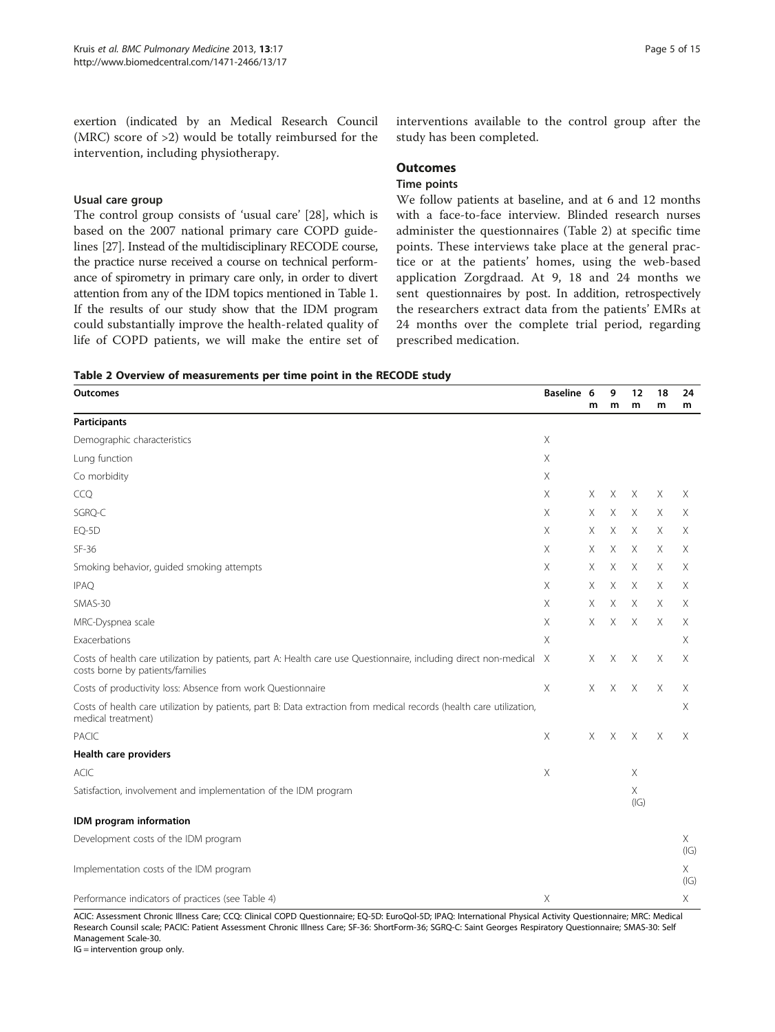<span id="page-4-0"></span>exertion (indicated by an Medical Research Council (MRC) score of >2) would be totally reimbursed for the intervention, including physiotherapy.

#### Usual care group

The control group consists of 'usual care' [[28](#page-13-0)], which is based on the 2007 national primary care COPD guidelines [\[27\]](#page-13-0). Instead of the multidisciplinary RECODE course, the practice nurse received a course on technical performance of spirometry in primary care only, in order to divert attention from any of the IDM topics mentioned in Table [1](#page-3-0). If the results of our study show that the IDM program could substantially improve the health-related quality of life of COPD patients, we will make the entire set of interventions available to the control group after the study has been completed.

#### **Outcomes**

## Time points

We follow patients at baseline, and at 6 and 12 months with a face-to-face interview. Blinded research nurses administer the questionnaires (Table 2) at specific time points. These interviews take place at the general practice or at the patients' homes, using the web-based application Zorgdraad. At 9, 18 and 24 months we sent questionnaires by post. In addition, retrospectively the researchers extract data from the patients' EMRs at 24 months over the complete trial period, regarding prescribed medication.

| Table 2 Overview of measurements per time point in the RECODE study |  |  |  |
|---------------------------------------------------------------------|--|--|--|
|---------------------------------------------------------------------|--|--|--|

| <b>Outcomes</b>                                                                                                                                         | Baseline 6 | m        | 9<br>m   | 12<br>m   | 18<br>m  | 24<br>m    |
|---------------------------------------------------------------------------------------------------------------------------------------------------------|------------|----------|----------|-----------|----------|------------|
| Participants                                                                                                                                            |            |          |          |           |          |            |
| Demographic characteristics                                                                                                                             | $\times$   |          |          |           |          |            |
| Lung function                                                                                                                                           | Χ          |          |          |           |          |            |
| Co morbidity                                                                                                                                            | $\times$   |          |          |           |          |            |
| CCQ                                                                                                                                                     | X          | $\times$ | $\times$ | $\times$  | $\times$ | Χ          |
| SGRQ-C                                                                                                                                                  | $\times$   | $\times$ | $\times$ | $\times$  | $\times$ | Χ          |
| EQ-5D                                                                                                                                                   | $\times$   | Χ        | $\times$ | Χ         | X.       | Χ          |
| $SF-36$                                                                                                                                                 | Χ          | X        | $\times$ | X         | X.       | Χ          |
| Smoking behavior, guided smoking attempts                                                                                                               | X          | X        | $\times$ | $\times$  | X        | X          |
| <b>IPAQ</b>                                                                                                                                             | Χ          | X.       | $\times$ | Χ         | X.       | Χ          |
| SMAS-30                                                                                                                                                 | X          | Χ        | X        | Χ         | X.       | X.         |
| MRC-Dyspnea scale                                                                                                                                       | X          | X        | Χ        | $\times$  | $\times$ | Χ          |
| Exacerbations                                                                                                                                           | X          |          |          |           |          | Х          |
| Costs of health care utilization by patients, part A: Health care use Questionnaire, including direct non-medical X<br>costs borne by patients/families |            | X.       | $\times$ | $\times$  | $\times$ | X          |
| Costs of productivity loss: Absence from work Questionnaire                                                                                             | $\times$   | X        | $\times$ | $\times$  | $\times$ | Χ          |
| Costs of health care utilization by patients, part B: Data extraction from medical records (health care utilization,<br>medical treatment)              |            |          |          |           |          | Χ          |
| PACIC                                                                                                                                                   | $\times$   | $\times$ | $\times$ | $\times$  | $\times$ | X          |
| Health care providers                                                                                                                                   |            |          |          |           |          |            |
| <b>ACIC</b>                                                                                                                                             | Χ          |          |          | Χ         |          |            |
| Satisfaction, involvement and implementation of the IDM program                                                                                         |            |          |          | Χ<br>(IG) |          |            |
| IDM program information                                                                                                                                 |            |          |          |           |          |            |
| Development costs of the IDM program                                                                                                                    |            |          |          |           |          | Χ.<br>(IG) |
| Implementation costs of the IDM program                                                                                                                 |            |          |          |           |          | Χ<br>(IG)  |
| Performance indicators of practices (see Table 4)                                                                                                       | Χ          |          |          |           |          | Χ          |

ACIC: Assessment Chronic Illness Care; CCQ: Clinical COPD Questionnaire; EQ-5D: EuroQol-5D; IPAQ: International Physical Activity Questionnaire; MRC: Medical Research Counsil scale; PACIC: Patient Assessment Chronic Illness Care; SF-36: ShortForm-36; SGRQ-C: Saint Georges Respiratory Questionnaire; SMAS-30: Self Management Scale-30.

IG = intervention group only.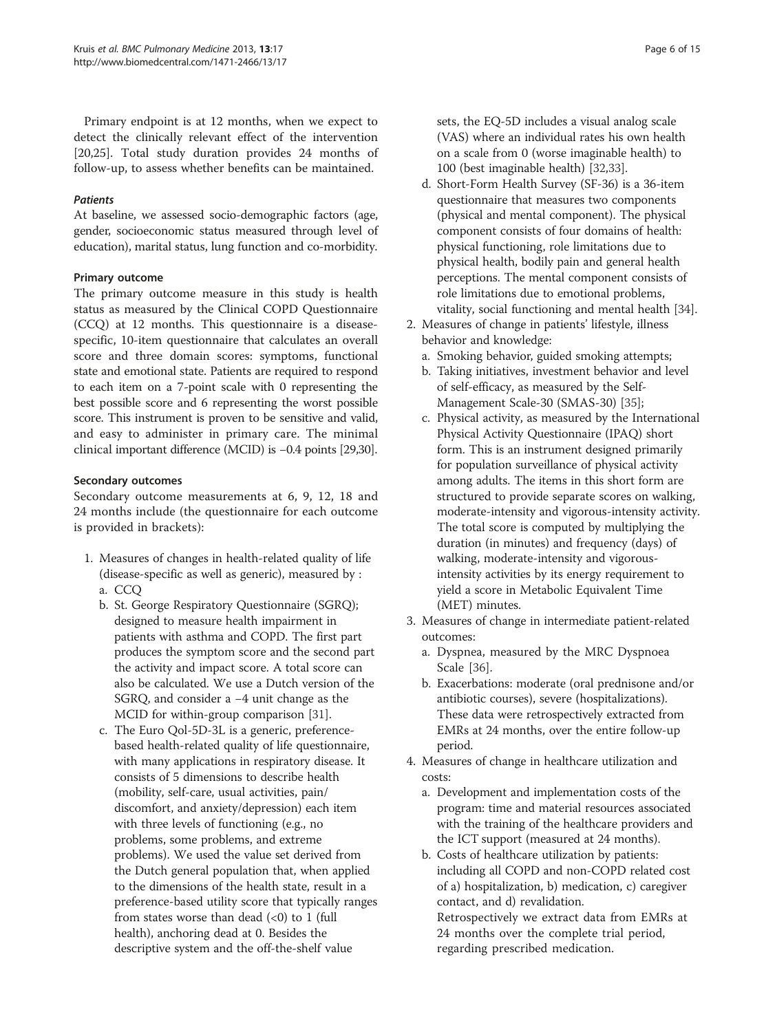Primary endpoint is at 12 months, when we expect to detect the clinically relevant effect of the intervention [[20,25\]](#page-13-0). Total study duration provides 24 months of follow-up, to assess whether benefits can be maintained.

#### **Patients**

At baseline, we assessed socio-demographic factors (age, gender, socioeconomic status measured through level of education), marital status, lung function and co-morbidity.

## Primary outcome

The primary outcome measure in this study is health status as measured by the Clinical COPD Questionnaire (CCQ) at 12 months. This questionnaire is a diseasespecific, 10-item questionnaire that calculates an overall score and three domain scores: symptoms, functional state and emotional state. Patients are required to respond to each item on a 7-point scale with 0 representing the best possible score and 6 representing the worst possible score. This instrument is proven to be sensitive and valid, and easy to administer in primary care. The minimal clinical important difference (MCID) is −0.4 points [\[29,30](#page-13-0)].

#### Secondary outcomes

Secondary outcome measurements at 6, 9, 12, 18 and 24 months include (the questionnaire for each outcome is provided in brackets):

- 1. Measures of changes in health-related quality of life (disease-specific as well as generic), measured by : a. CCQ
	- b. St. George Respiratory Questionnaire (SGRQ); designed to measure health impairment in patients with asthma and COPD. The first part produces the symptom score and the second part the activity and impact score. A total score can also be calculated. We use a Dutch version of the SGRQ, and consider a −4 unit change as the MCID for within-group comparison [\[31\]](#page-13-0).
	- c. The Euro Qol-5D-3L is a generic, preferencebased health-related quality of life questionnaire, with many applications in respiratory disease. It consists of 5 dimensions to describe health (mobility, self-care, usual activities, pain/ discomfort, and anxiety/depression) each item with three levels of functioning (e.g., no problems, some problems, and extreme problems). We used the value set derived from the Dutch general population that, when applied to the dimensions of the health state, result in a preference-based utility score that typically ranges from states worse than dead  $\left($ <0) to 1 (full health), anchoring dead at 0. Besides the descriptive system and the off-the-shelf value

sets, the EQ-5D includes a visual analog scale (VAS) where an individual rates his own health on a scale from 0 (worse imaginable health) to 100 (best imaginable health) [\[32,33](#page-13-0)].

- d. Short-Form Health Survey (SF-36) is a 36-item questionnaire that measures two components (physical and mental component). The physical component consists of four domains of health: physical functioning, role limitations due to physical health, bodily pain and general health perceptions. The mental component consists of role limitations due to emotional problems, vitality, social functioning and mental health [\[34\]](#page-13-0).
- 2. Measures of change in patients' lifestyle, illness behavior and knowledge:
	- a. Smoking behavior, guided smoking attempts;
	- b. Taking initiatives, investment behavior and level of self-efficacy, as measured by the Self-Management Scale-30 (SMAS-30) [\[35\]](#page-13-0);
	- c. Physical activity, as measured by the International Physical Activity Questionnaire (IPAQ) short form. This is an instrument designed primarily for population surveillance of physical activity among adults. The items in this short form are structured to provide separate scores on walking, moderate-intensity and vigorous-intensity activity. The total score is computed by multiplying the duration (in minutes) and frequency (days) of walking, moderate-intensity and vigorousintensity activities by its energy requirement to yield a score in Metabolic Equivalent Time (MET) minutes.
- 3. Measures of change in intermediate patient-related outcomes:
	- a. Dyspnea, measured by the MRC Dyspnoea Scale [[36](#page-13-0)].
	- b. Exacerbations: moderate (oral prednisone and/or antibiotic courses), severe (hospitalizations). These data were retrospectively extracted from EMRs at 24 months, over the entire follow-up period.
- 4. Measures of change in healthcare utilization and costs:
	- a. Development and implementation costs of the program: time and material resources associated with the training of the healthcare providers and the ICT support (measured at 24 months).
	- b. Costs of healthcare utilization by patients: including all COPD and non-COPD related cost of a) hospitalization, b) medication, c) caregiver contact, and d) revalidation. Retrospectively we extract data from EMRs at 24 months over the complete trial period, regarding prescribed medication.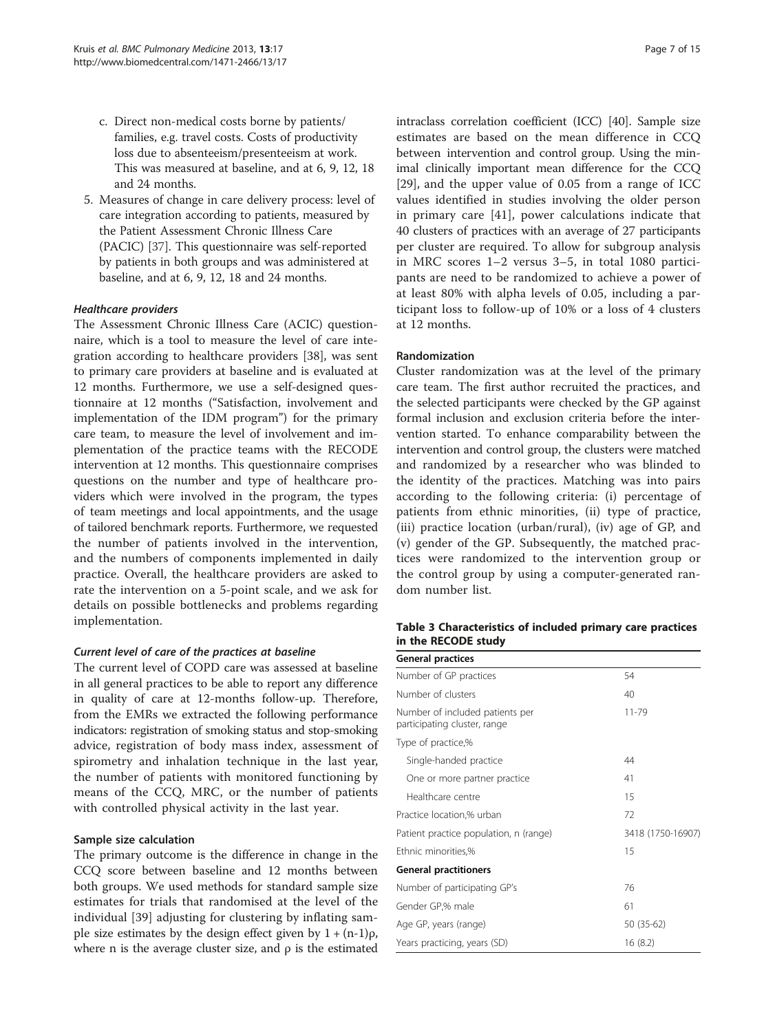- <span id="page-6-0"></span>c. Direct non-medical costs borne by patients/ families, e.g. travel costs. Costs of productivity loss due to absenteeism/presenteeism at work. This was measured at baseline, and at 6, 9, 12, 18 and 24 months.
- 5. Measures of change in care delivery process: level of care integration according to patients, measured by the Patient Assessment Chronic Illness Care (PACIC) [[37](#page-13-0)]. This questionnaire was self-reported by patients in both groups and was administered at baseline, and at 6, 9, 12, 18 and 24 months.

#### Healthcare providers

The Assessment Chronic Illness Care (ACIC) questionnaire, which is a tool to measure the level of care integration according to healthcare providers [[38\]](#page-13-0), was sent to primary care providers at baseline and is evaluated at 12 months. Furthermore, we use a self-designed questionnaire at 12 months ("Satisfaction, involvement and implementation of the IDM program") for the primary care team, to measure the level of involvement and implementation of the practice teams with the RECODE intervention at 12 months. This questionnaire comprises questions on the number and type of healthcare providers which were involved in the program, the types of team meetings and local appointments, and the usage of tailored benchmark reports. Furthermore, we requested the number of patients involved in the intervention, and the numbers of components implemented in daily practice. Overall, the healthcare providers are asked to rate the intervention on a 5-point scale, and we ask for details on possible bottlenecks and problems regarding implementation.

## Current level of care of the practices at baseline

The current level of COPD care was assessed at baseline in all general practices to be able to report any difference in quality of care at 12-months follow-up. Therefore, from the EMRs we extracted the following performance indicators: registration of smoking status and stop-smoking advice, registration of body mass index, assessment of spirometry and inhalation technique in the last year, the number of patients with monitored functioning by means of the CCQ, MRC, or the number of patients with controlled physical activity in the last year.

#### Sample size calculation

The primary outcome is the difference in change in the CCQ score between baseline and 12 months between both groups. We used methods for standard sample size estimates for trials that randomised at the level of the individual [\[39](#page-13-0)] adjusting for clustering by inflating sample size estimates by the design effect given by  $1 + (n-1)\rho$ , where n is the average cluster size, and  $\rho$  is the estimated intraclass correlation coefficient (ICC) [[40](#page-13-0)]. Sample size estimates are based on the mean difference in CCQ between intervention and control group. Using the minimal clinically important mean difference for the CCQ [[29](#page-13-0)], and the upper value of 0.05 from a range of ICC values identified in studies involving the older person in primary care [\[41](#page-13-0)], power calculations indicate that 40 clusters of practices with an average of 27 participants per cluster are required. To allow for subgroup analysis in MRC scores 1–2 versus 3–5, in total 1080 participants are need to be randomized to achieve a power of at least 80% with alpha levels of 0.05, including a participant loss to follow-up of 10% or a loss of 4 clusters at 12 months.

#### Randomization

Cluster randomization was at the level of the primary care team. The first author recruited the practices, and the selected participants were checked by the GP against formal inclusion and exclusion criteria before the intervention started. To enhance comparability between the intervention and control group, the clusters were matched and randomized by a researcher who was blinded to the identity of the practices. Matching was into pairs according to the following criteria: (i) percentage of patients from ethnic minorities, (ii) type of practice, (iii) practice location (urban/rural), (iv) age of GP, and (v) gender of the GP. Subsequently, the matched practices were randomized to the intervention group or the control group by using a computer-generated random number list.

Table 3 Characteristics of included primary care practices in the RECODE study

| <b>General practices</b>                                        |                   |
|-----------------------------------------------------------------|-------------------|
| Number of GP practices                                          | 54                |
| Number of clusters                                              | 40                |
| Number of included patients per<br>participating cluster, range | 11-79             |
| Type of practice,%                                              |                   |
| Single-handed practice                                          | 44                |
| One or more partner practice                                    | 41                |
| Healthcare centre                                               | 15                |
| Practice location,% urban                                       | 72                |
| Patient practice population, n (range)                          | 3418 (1750-16907) |
| Ethnic minorities,%                                             | 15                |
| <b>General practitioners</b>                                    |                   |
| Number of participating GP's                                    | 76                |
| Gender GP,% male                                                | 61                |
| Age GP, years (range)                                           | 50 (35-62)        |
| Years practicing, years (SD)                                    | 16(8.2)           |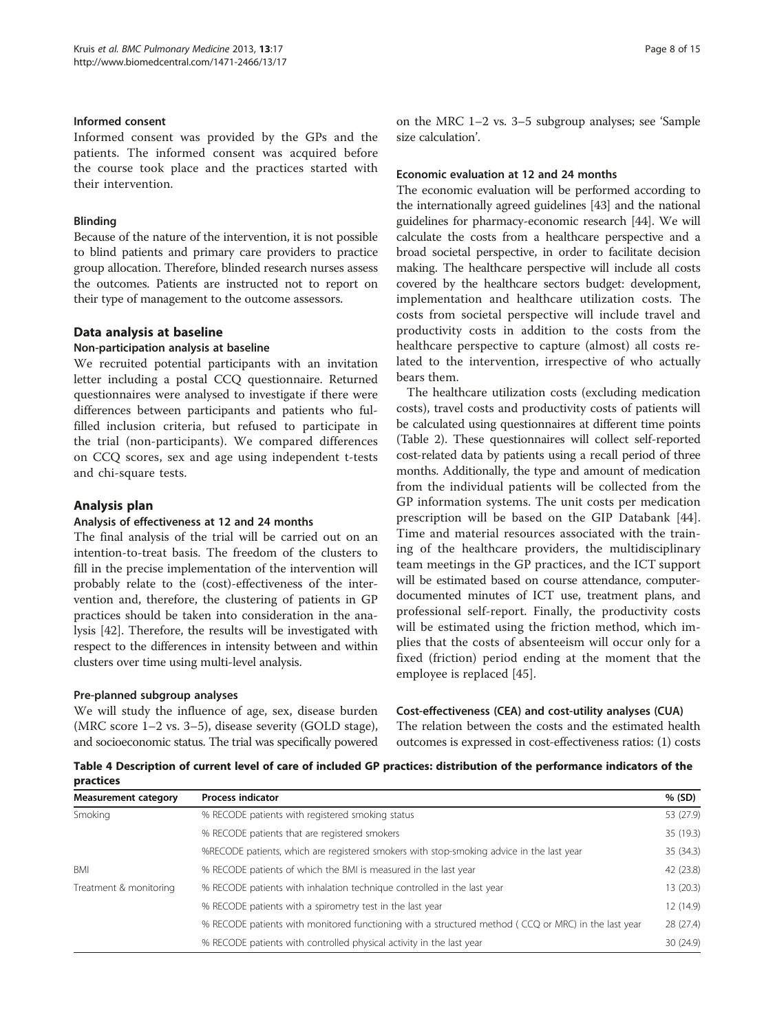#### <span id="page-7-0"></span>Informed consent

Informed consent was provided by the GPs and the patients. The informed consent was acquired before the course took place and the practices started with their intervention.

#### Blinding

Because of the nature of the intervention, it is not possible to blind patients and primary care providers to practice group allocation. Therefore, blinded research nurses assess the outcomes. Patients are instructed not to report on their type of management to the outcome assessors.

## Data analysis at baseline

## Non-participation analysis at baseline

We recruited potential participants with an invitation letter including a postal CCQ questionnaire. Returned questionnaires were analysed to investigate if there were differences between participants and patients who fulfilled inclusion criteria, but refused to participate in the trial (non-participants). We compared differences on CCQ scores, sex and age using independent t-tests and chi-square tests.

## Analysis plan

## Analysis of effectiveness at 12 and 24 months

The final analysis of the trial will be carried out on an intention-to-treat basis. The freedom of the clusters to fill in the precise implementation of the intervention will probably relate to the (cost)-effectiveness of the intervention and, therefore, the clustering of patients in GP practices should be taken into consideration in the analysis [\[42](#page-14-0)]. Therefore, the results will be investigated with respect to the differences in intensity between and within clusters over time using multi-level analysis.

## Pre-planned subgroup analyses

We will study the influence of age, sex, disease burden (MRC score 1–2 vs. 3–5), disease severity (GOLD stage), and socioeconomic status. The trial was specifically powered on the MRC 1–2 vs. 3–5 subgroup analyses; see 'Sample size calculation'.

## Economic evaluation at 12 and 24 months

The economic evaluation will be performed according to the internationally agreed guidelines [[43](#page-14-0)] and the national guidelines for pharmacy-economic research [\[44\]](#page-14-0). We will calculate the costs from a healthcare perspective and a broad societal perspective, in order to facilitate decision making. The healthcare perspective will include all costs covered by the healthcare sectors budget: development, implementation and healthcare utilization costs. The costs from societal perspective will include travel and productivity costs in addition to the costs from the healthcare perspective to capture (almost) all costs related to the intervention, irrespective of who actually bears them.

The healthcare utilization costs (excluding medication costs), travel costs and productivity costs of patients will be calculated using questionnaires at different time points (Table [2\)](#page-4-0). These questionnaires will collect self-reported cost-related data by patients using a recall period of three months. Additionally, the type and amount of medication from the individual patients will be collected from the GP information systems. The unit costs per medication prescription will be based on the GIP Databank [\[44](#page-14-0)]. Time and material resources associated with the training of the healthcare providers, the multidisciplinary team meetings in the GP practices, and the ICT support will be estimated based on course attendance, computerdocumented minutes of ICT use, treatment plans, and professional self-report. Finally, the productivity costs will be estimated using the friction method, which implies that the costs of absenteeism will occur only for a fixed (friction) period ending at the moment that the employee is replaced [[45\]](#page-14-0).

Cost-effectiveness (CEA) and cost-utility analyses (CUA)

The relation between the costs and the estimated health outcomes is expressed in cost-effectiveness ratios: (1) costs

Table 4 Description of current level of care of included GP practices: distribution of the performance indicators of the practices

| <b>Measurement category</b> | <b>Process indicator</b>                                                                            | % (SD)    |
|-----------------------------|-----------------------------------------------------------------------------------------------------|-----------|
| Smoking                     | % RECODE patients with registered smoking status                                                    | 53 (27.9) |
|                             | % RECODE patients that are registered smokers                                                       | 35 (19.3) |
|                             | %RECODE patients, which are registered smokers with stop-smoking advice in the last year            | 35(34.3)  |
| <b>BMI</b>                  | % RECODE patients of which the BMI is measured in the last year                                     | 42 (23.8) |
| Treatment & monitoring      | % RECODE patients with inhalation technique controlled in the last year                             | 13(20.3)  |
|                             | % RECODE patients with a spirometry test in the last year                                           | 12(14.9)  |
|                             | % RECODE patients with monitored functioning with a structured method (CCQ or MRC) in the last year | 28 (27.4) |
|                             | % RECODE patients with controlled physical activity in the last year                                | 30(24.9)  |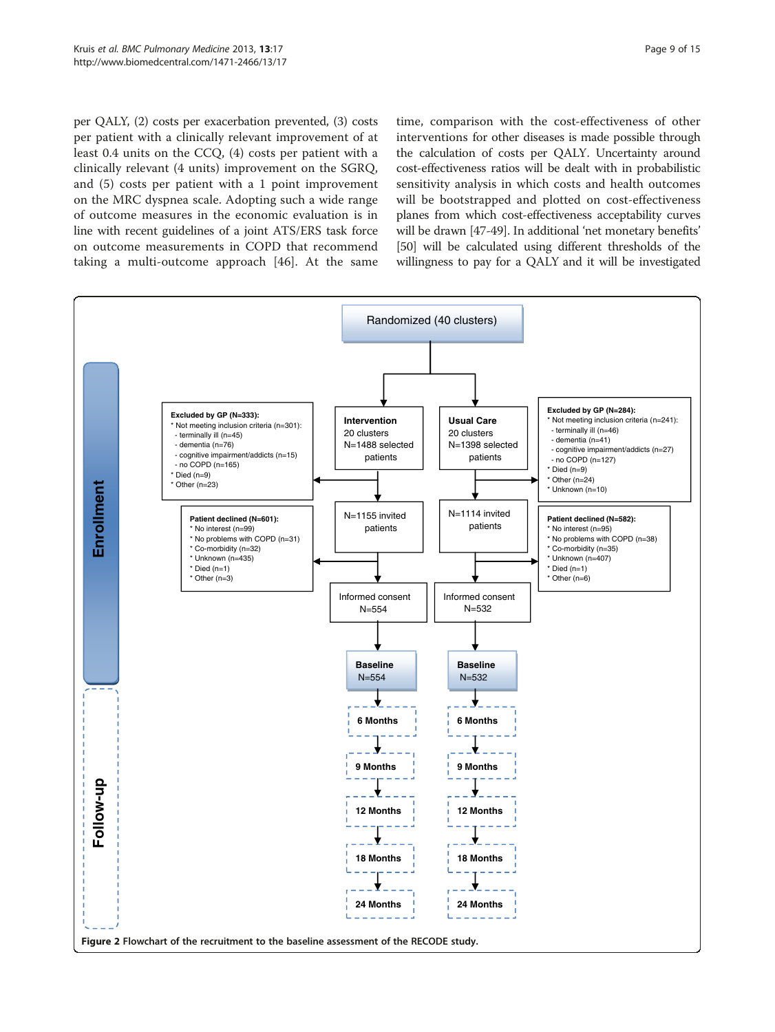<span id="page-8-0"></span>per QALY, (2) costs per exacerbation prevented, (3) costs per patient with a clinically relevant improvement of at least 0.4 units on the CCQ, (4) costs per patient with a clinically relevant (4 units) improvement on the SGRQ, and (5) costs per patient with a 1 point improvement on the MRC dyspnea scale. Adopting such a wide range of outcome measures in the economic evaluation is in line with recent guidelines of a joint ATS/ERS task force on outcome measurements in COPD that recommend taking a multi-outcome approach [[46\]](#page-14-0). At the same

time, comparison with the cost-effectiveness of other interventions for other diseases is made possible through the calculation of costs per QALY. Uncertainty around cost-effectiveness ratios will be dealt with in probabilistic sensitivity analysis in which costs and health outcomes will be bootstrapped and plotted on cost-effectiveness planes from which cost-effectiveness acceptability curves will be drawn [\[47-49\]](#page-14-0). In additional 'net monetary benefits' [[50](#page-14-0)] will be calculated using different thresholds of the willingness to pay for a QALY and it will be investigated

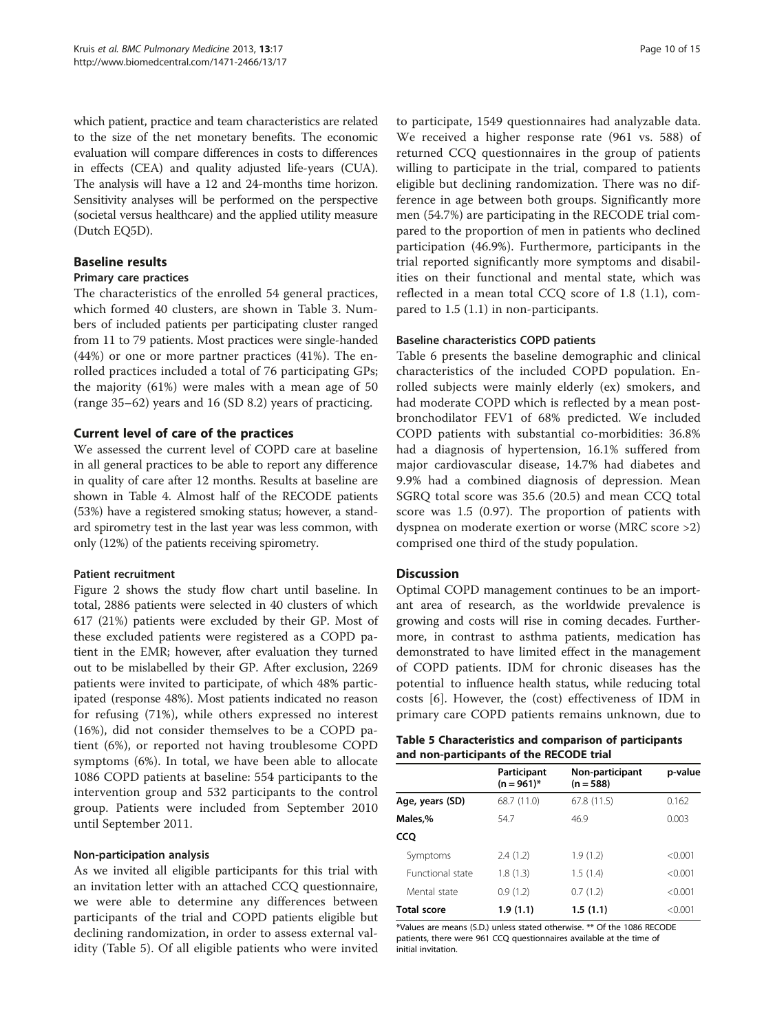which patient, practice and team characteristics are related to the size of the net monetary benefits. The economic evaluation will compare differences in costs to differences in effects (CEA) and quality adjusted life-years (CUA). The analysis will have a 12 and 24-months time horizon. Sensitivity analyses will be performed on the perspective (societal versus healthcare) and the applied utility measure (Dutch EQ5D).

## Baseline results

#### Primary care practices

The characteristics of the enrolled 54 general practices, which formed 40 clusters, are shown in Table [3.](#page-6-0) Numbers of included patients per participating cluster ranged from 11 to 79 patients. Most practices were single-handed (44%) or one or more partner practices (41%). The enrolled practices included a total of 76 participating GPs; the majority (61%) were males with a mean age of 50 (range 35–62) years and 16 (SD 8.2) years of practicing.

## Current level of care of the practices

We assessed the current level of COPD care at baseline in all general practices to be able to report any difference in quality of care after 12 months. Results at baseline are shown in Table [4](#page-7-0). Almost half of the RECODE patients (53%) have a registered smoking status; however, a standard spirometry test in the last year was less common, with only (12%) of the patients receiving spirometry.

#### Patient recruitment

Figure [2](#page-8-0) shows the study flow chart until baseline. In total, 2886 patients were selected in 40 clusters of which 617 (21%) patients were excluded by their GP. Most of these excluded patients were registered as a COPD patient in the EMR; however, after evaluation they turned out to be mislabelled by their GP. After exclusion, 2269 patients were invited to participate, of which 48% participated (response 48%). Most patients indicated no reason for refusing (71%), while others expressed no interest (16%), did not consider themselves to be a COPD patient (6%), or reported not having troublesome COPD symptoms (6%). In total, we have been able to allocate 1086 COPD patients at baseline: 554 participants to the intervention group and 532 participants to the control group. Patients were included from September 2010 until September 2011.

#### Non-participation analysis

As we invited all eligible participants for this trial with an invitation letter with an attached CCQ questionnaire, we were able to determine any differences between participants of the trial and COPD patients eligible but declining randomization, in order to assess external validity (Table 5). Of all eligible patients who were invited

to participate, 1549 questionnaires had analyzable data. We received a higher response rate (961 vs. 588) of returned CCQ questionnaires in the group of patients willing to participate in the trial, compared to patients eligible but declining randomization. There was no difference in age between both groups. Significantly more men (54.7%) are participating in the RECODE trial compared to the proportion of men in patients who declined participation (46.9%). Furthermore, participants in the trial reported significantly more symptoms and disabilities on their functional and mental state, which was reflected in a mean total CCQ score of 1.8 (1.1), compared to 1.5 (1.1) in non-participants.

#### Baseline characteristics COPD patients

Table [6](#page-10-0) presents the baseline demographic and clinical characteristics of the included COPD population. Enrolled subjects were mainly elderly (ex) smokers, and had moderate COPD which is reflected by a mean postbronchodilator FEV1 of 68% predicted. We included COPD patients with substantial co-morbidities: 36.8% had a diagnosis of hypertension, 16.1% suffered from major cardiovascular disease, 14.7% had diabetes and 9.9% had a combined diagnosis of depression. Mean SGRQ total score was 35.6 (20.5) and mean CCQ total score was 1.5 (0.97). The proportion of patients with dyspnea on moderate exertion or worse (MRC score >2) comprised one third of the study population.

## **Discussion**

Optimal COPD management continues to be an important area of research, as the worldwide prevalence is growing and costs will rise in coming decades. Furthermore, in contrast to asthma patients, medication has demonstrated to have limited effect in the management of COPD patients. IDM for chronic diseases has the potential to influence health status, while reducing total costs [\[6](#page-13-0)]. However, the (cost) effectiveness of IDM in primary care COPD patients remains unknown, due to

#### Table 5 Characteristics and comparison of participants and non-participants of the RECODE trial

|                         | Participant<br>$(n = 961)^*$ | Non-participant<br>$(n = 588)$ | p-value |
|-------------------------|------------------------------|--------------------------------|---------|
| Age, years (SD)         | 68.7 (11.0)                  | 67.8 (11.5)                    | 0.162   |
| Males,%                 | 547                          | 46.9                           | 0.003   |
| CCO                     |                              |                                |         |
| Symptoms                | 2.4(1.2)                     | 1.9(1.2)                       | < 0.001 |
| <b>Functional state</b> | 1.8(1.3)                     | 1.5(1.4)                       | < 0.001 |
| Mental state            | 0.9(1.2)                     | 0.7(1.2)                       | < 0.001 |
| <b>Total score</b>      | 1.9(1.1)                     | 1.5(1.1)                       | < 0.001 |

\*Values are means (S.D.) unless stated otherwise. \*\* Of the 1086 RECODE patients, there were 961 CCQ questionnaires available at the time of initial invitation.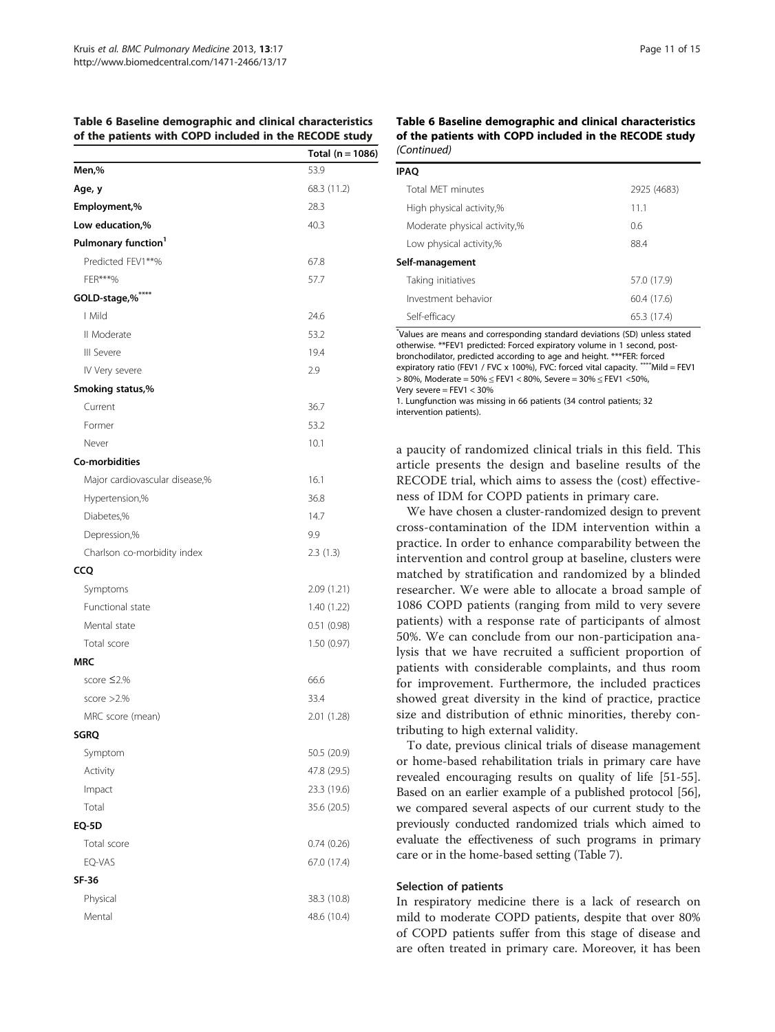<span id="page-10-0"></span>Table 6 Baseline demographic and clinical characteristics of the patients with COPD included in the RECODE study

|                                 | Total $(n = 1086)$ |
|---------------------------------|--------------------|
| Men,%                           | 53.9               |
| Age, y                          | 68.3 (11.2)        |
| Employment,%                    | 28.3               |
| Low education,%                 | 40.3               |
| Pulmonary function <sup>1</sup> |                    |
| Predicted FEV1**%               | 67.8               |
| FER***%                         | 57.7               |
| GOLD-stage,%****                |                    |
| I Mild                          | 24.6               |
| II Moderate                     | 53.2               |
| III Severe                      | 19.4               |
| IV Very severe                  | 2.9                |
| Smoking status,%                |                    |
| Current                         | 36.7               |
| Former                          | 53.2               |
| Never                           | 10.1               |
| Co-morbidities                  |                    |
| Major cardiovascular disease,%  | 16.1               |
| Hypertension,%                  | 36.8               |
| Diabetes,%                      | 14.7               |
| Depression,%                    | 9.9                |
| Charlson co-morbidity index     | 2.3(1.3)           |
| CCQ                             |                    |
| Symptoms                        | 2.09 (1.21)        |
| Functional state                | 1.40 (1.22)        |
| Mental state                    | 0.51(0.98)         |
| Total score                     | 1.50 (0.97)        |
| <b>MRC</b>                      |                    |
| score ≤2.%                      | 66.6               |
| score $>2.$ %                   | 33.4               |
| MRC score (mean)                | 2.01 (1.28)        |
| SGRQ                            |                    |
| Symptom                         | 50.5 (20.9)        |
| Activity                        | 47.8 (29.5)        |
| Impact                          | 23.3 (19.6)        |
| Total                           | 35.6 (20.5)        |
| EQ-5D                           |                    |
| Total score                     | 0.74(0.26)         |
| EQ-VAS                          | 67.0 (17.4)        |
| SF-36                           |                    |
| Physical                        | 38.3 (10.8)        |
| Mental                          | 48.6 (10.4)        |

Table 6 Baseline demographic and clinical characteristics of the patients with COPD included in the RECODE study (Continued)

| <b>IPAO</b>                  |             |
|------------------------------|-------------|
| Total MFT minutes            | 2925 (4683) |
| High physical activity,%     | 11.1        |
| Moderate physical activity,% | 0.6         |
| Low physical activity,%      | 88.4        |
| Self-management              |             |
| Taking initiatives           | 57.0 (17.9) |
| Investment behavior          | 60.4 (17.6) |
| Self-efficacy                | 65.3 (17.4) |

\* Values are means and corresponding standard deviations (SD) unless stated otherwise. \*\*FEV1 predicted: Forced expiratory volume in 1 second, postbronchodilator, predicted according to age and height. \*\*\*FER: forced expiratory ratio (FEV1 / FVC x 100%), FVC: forced vital capacity. \*\*\*\* Mild = FEV1 > 80%, Moderate = 50% ≤ FEV1 < 80%, Severe = 30% ≤ FEV1 <50%, Very severe  $=$  FEV1  $<$  30%

1. Lungfunction was missing in 66 patients (34 control patients; 32 intervention patients).

a paucity of randomized clinical trials in this field. This article presents the design and baseline results of the RECODE trial, which aims to assess the (cost) effectiveness of IDM for COPD patients in primary care.

We have chosen a cluster-randomized design to prevent cross-contamination of the IDM intervention within a practice. In order to enhance comparability between the intervention and control group at baseline, clusters were matched by stratification and randomized by a blinded researcher. We were able to allocate a broad sample of 1086 COPD patients (ranging from mild to very severe patients) with a response rate of participants of almost 50%. We can conclude from our non-participation analysis that we have recruited a sufficient proportion of patients with considerable complaints, and thus room for improvement. Furthermore, the included practices showed great diversity in the kind of practice, practice size and distribution of ethnic minorities, thereby contributing to high external validity.

To date, previous clinical trials of disease management or home-based rehabilitation trials in primary care have revealed encouraging results on quality of life [\[51-55](#page-14-0)]. Based on an earlier example of a published protocol [[56](#page-14-0)], we compared several aspects of our current study to the previously conducted randomized trials which aimed to evaluate the effectiveness of such programs in primary care or in the home-based setting (Table [7](#page-11-0)).

#### Selection of patients

In respiratory medicine there is a lack of research on mild to moderate COPD patients, despite that over 80% of COPD patients suffer from this stage of disease and are often treated in primary care. Moreover, it has been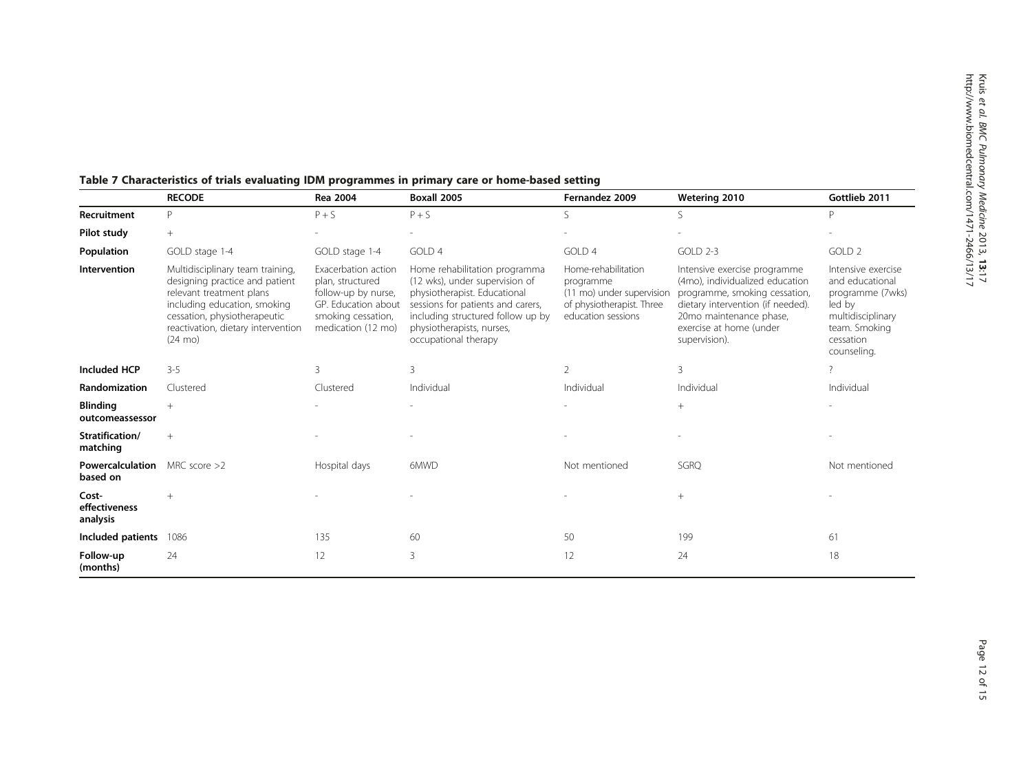## <span id="page-11-0"></span>Table 7 Characteristics of trials evaluating IDM programmes in primary care or home-based setting

|                                    | <b>RECODE</b>                                                                                                                                                                                                             | <b>Rea 2004</b>                                                                                                                   | Boxall 2005                                                                                                                                                                                                                    | Fernandez 2009                                                                                                   | Wetering 2010                                                                                                                                                                                                | Gottlieb 2011                                                                                                                         |
|------------------------------------|---------------------------------------------------------------------------------------------------------------------------------------------------------------------------------------------------------------------------|-----------------------------------------------------------------------------------------------------------------------------------|--------------------------------------------------------------------------------------------------------------------------------------------------------------------------------------------------------------------------------|------------------------------------------------------------------------------------------------------------------|--------------------------------------------------------------------------------------------------------------------------------------------------------------------------------------------------------------|---------------------------------------------------------------------------------------------------------------------------------------|
| Recruitment                        | P                                                                                                                                                                                                                         | $P + S$                                                                                                                           | $P + S$                                                                                                                                                                                                                        | S                                                                                                                | S.                                                                                                                                                                                                           | P                                                                                                                                     |
| Pilot study                        | $^{+}$                                                                                                                                                                                                                    |                                                                                                                                   |                                                                                                                                                                                                                                |                                                                                                                  |                                                                                                                                                                                                              |                                                                                                                                       |
| Population                         | GOLD stage 1-4                                                                                                                                                                                                            | GOLD stage 1-4                                                                                                                    | GOLD 4                                                                                                                                                                                                                         | GOLD 4                                                                                                           | <b>GOLD 2-3</b>                                                                                                                                                                                              | GOLD <sub>2</sub>                                                                                                                     |
| Intervention                       | Multidisciplinary team training,<br>designing practice and patient<br>relevant treatment plans<br>including education, smoking<br>cessation, physiotherapeutic<br>reactivation, dietary intervention<br>$(24 \text{ mo})$ | Exacerbation action<br>plan, structured<br>follow-up by nurse,<br>GP. Education about<br>smoking cessation,<br>medication (12 mo) | Home rehabilitation programma<br>(12 wks), under supervision of<br>physiotherapist. Educational<br>sessions for patients and carers,<br>including structured follow up by<br>physiotherapists, nurses,<br>occupational therapy | Home-rehabilitation<br>programme<br>(11 mo) under supervision<br>of physiotherapist. Three<br>education sessions | Intensive exercise programme<br>(4mo), individualized education<br>programme, smoking cessation,<br>dietary intervention (if needed).<br>20mo maintenance phase,<br>exercise at home (under<br>supervision). | Intensive exercise<br>and educational<br>programme (7wks)<br>led by<br>multidisciplinary<br>team. Smoking<br>cessation<br>counseling. |
| Included HCP                       | $3 - 5$                                                                                                                                                                                                                   | 3                                                                                                                                 | 3                                                                                                                                                                                                                              | $\overline{2}$                                                                                                   | $\overline{3}$                                                                                                                                                                                               | $\overline{\phantom{a}}$                                                                                                              |
| Randomization                      | Clustered                                                                                                                                                                                                                 | Clustered                                                                                                                         | Individual                                                                                                                                                                                                                     | Individual                                                                                                       | Individual                                                                                                                                                                                                   | Individual                                                                                                                            |
| <b>Blinding</b><br>outcomeassessor | $^{+}$                                                                                                                                                                                                                    |                                                                                                                                   |                                                                                                                                                                                                                                |                                                                                                                  | $+$                                                                                                                                                                                                          |                                                                                                                                       |
| Stratification/<br>matching        | $+$                                                                                                                                                                                                                       |                                                                                                                                   |                                                                                                                                                                                                                                |                                                                                                                  |                                                                                                                                                                                                              |                                                                                                                                       |
| Powercalculation<br>based on       | MRC score $>2$                                                                                                                                                                                                            | Hospital days                                                                                                                     | 6MWD                                                                                                                                                                                                                           | Not mentioned                                                                                                    | <b>SGRQ</b>                                                                                                                                                                                                  | Not mentioned                                                                                                                         |
| Cost-<br>effectiveness<br>analysis | $+$                                                                                                                                                                                                                       |                                                                                                                                   |                                                                                                                                                                                                                                |                                                                                                                  | $+$                                                                                                                                                                                                          |                                                                                                                                       |
| Included patients                  | 1086                                                                                                                                                                                                                      | 135                                                                                                                               | 60                                                                                                                                                                                                                             | 50                                                                                                               | 199                                                                                                                                                                                                          | 61                                                                                                                                    |
| Follow-up<br>(months)              | 24                                                                                                                                                                                                                        | 12                                                                                                                                | 3                                                                                                                                                                                                                              | 12                                                                                                               | 24                                                                                                                                                                                                           | 18                                                                                                                                    |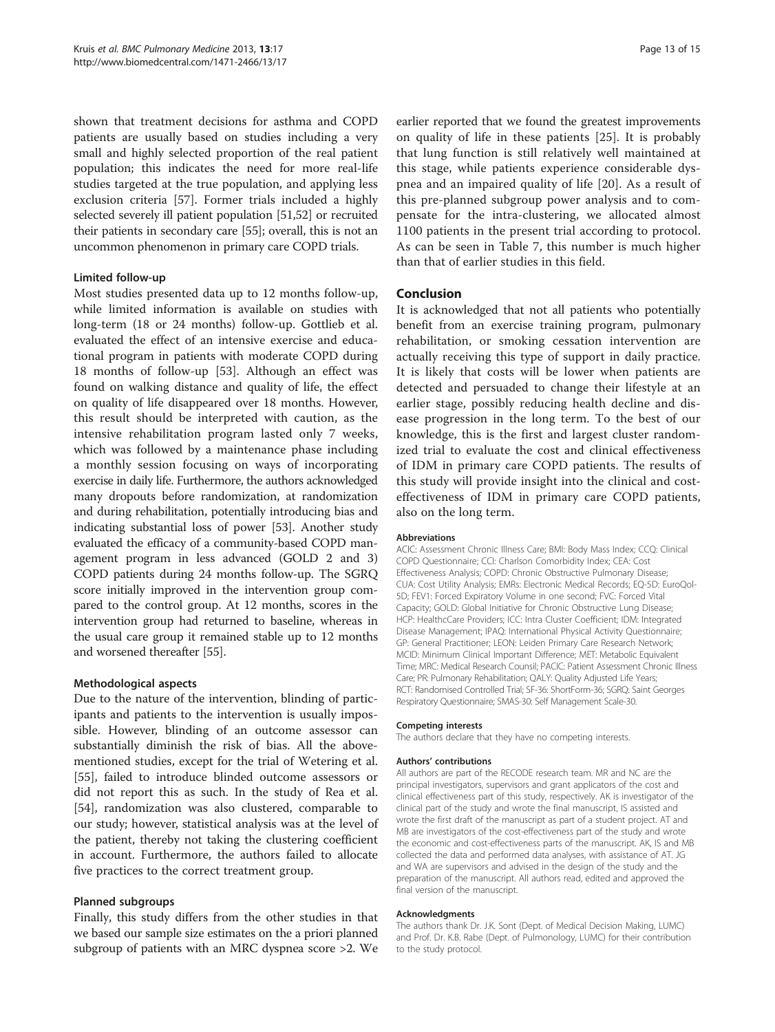shown that treatment decisions for asthma and COPD patients are usually based on studies including a very small and highly selected proportion of the real patient population; this indicates the need for more real-life studies targeted at the true population, and applying less exclusion criteria [[57](#page-14-0)]. Former trials included a highly selected severely ill patient population [[51,52\]](#page-14-0) or recruited their patients in secondary care [[55](#page-14-0)]; overall, this is not an uncommon phenomenon in primary care COPD trials.

#### Limited follow-up

Most studies presented data up to 12 months follow-up, while limited information is available on studies with long-term (18 or 24 months) follow-up. Gottlieb et al. evaluated the effect of an intensive exercise and educational program in patients with moderate COPD during 18 months of follow-up [[53\]](#page-14-0). Although an effect was found on walking distance and quality of life, the effect on quality of life disappeared over 18 months. However, this result should be interpreted with caution, as the intensive rehabilitation program lasted only 7 weeks, which was followed by a maintenance phase including a monthly session focusing on ways of incorporating exercise in daily life. Furthermore, the authors acknowledged many dropouts before randomization, at randomization and during rehabilitation, potentially introducing bias and indicating substantial loss of power [[53](#page-14-0)]. Another study evaluated the efficacy of a community-based COPD management program in less advanced (GOLD 2 and 3) COPD patients during 24 months follow-up. The SGRQ score initially improved in the intervention group compared to the control group. At 12 months, scores in the intervention group had returned to baseline, whereas in the usual care group it remained stable up to 12 months and worsened thereafter [\[55\]](#page-14-0).

#### Methodological aspects

Due to the nature of the intervention, blinding of participants and patients to the intervention is usually impossible. However, blinding of an outcome assessor can substantially diminish the risk of bias. All the abovementioned studies, except for the trial of Wetering et al. [[55\]](#page-14-0), failed to introduce blinded outcome assessors or did not report this as such. In the study of Rea et al. [[54\]](#page-14-0), randomization was also clustered, comparable to our study; however, statistical analysis was at the level of the patient, thereby not taking the clustering coefficient in account. Furthermore, the authors failed to allocate five practices to the correct treatment group.

## Planned subgroups

Finally, this study differs from the other studies in that we based our sample size estimates on the a priori planned subgroup of patients with an MRC dyspnea score >2. We earlier reported that we found the greatest improvements on quality of life in these patients [[25\]](#page-13-0). It is probably that lung function is still relatively well maintained at this stage, while patients experience considerable dyspnea and an impaired quality of life [[20\]](#page-13-0). As a result of this pre-planned subgroup power analysis and to compensate for the intra-clustering, we allocated almost 1100 patients in the present trial according to protocol. As can be seen in Table [7,](#page-11-0) this number is much higher than that of earlier studies in this field.

#### Conclusion

It is acknowledged that not all patients who potentially benefit from an exercise training program, pulmonary rehabilitation, or smoking cessation intervention are actually receiving this type of support in daily practice. It is likely that costs will be lower when patients are detected and persuaded to change their lifestyle at an earlier stage, possibly reducing health decline and disease progression in the long term. To the best of our knowledge, this is the first and largest cluster randomized trial to evaluate the cost and clinical effectiveness of IDM in primary care COPD patients. The results of this study will provide insight into the clinical and costeffectiveness of IDM in primary care COPD patients, also on the long term.

#### Abbreviations

ACIC: Assessment Chronic Illness Care; BMI: Body Mass Index; CCQ: Clinical COPD Questionnaire; CCI: Charlson Comorbidity Index; CEA: Cost Effectiveness Analysis; COPD: Chronic Obstructive Pulmonary Disease; CUA: Cost Utility Analysis; EMRs: Electronic Medical Records; EQ-5D: EuroQol-5D; FEV1: Forced Expiratory Volume in one second; FVC: Forced Vital Capacity; GOLD: Global Initiative for Chronic Obstructive Lung Disease; HCP: HealthcCare Providers; ICC: Intra Cluster Coefficient; IDM: Integrated Disease Management; IPAQ: International Physical Activity Questionnaire; GP: General Practitioner; LEON: Leiden Primary Care Research Network; MCID: Minimum Clinical Important Difference; MET: Metabolic Equivalent Time; MRC: Medical Research Counsil; PACIC: Patient Assessment Chronic Illness Care; PR: Pulmonary Rehabilitation; QALY: Quality Adjusted Life Years; RCT: Randomised Controlled Trial; SF-36: ShortForm-36; SGRQ: Saint Georges Respiratory Questionnaire; SMAS-30: Self Management Scale-30.

#### Competing interests

The authors declare that they have no competing interests.

#### Authors' contributions

All authors are part of the RECODE research team. MR and NC are the principal investigators, supervisors and grant applicators of the cost and clinical effectiveness part of this study, respectively. AK is investigator of the clinical part of the study and wrote the final manuscript, IS assisted and wrote the first draft of the manuscript as part of a student project. AT and MB are investigators of the cost-effectiveness part of the study and wrote the economic and cost-effectiveness parts of the manuscript. AK, IS and MB collected the data and performed data analyses, with assistance of AT. JG and WA are supervisors and advised in the design of the study and the preparation of the manuscript. All authors read, edited and approved the final version of the manuscript.

#### Acknowledgments

The authors thank Dr. J.K. Sont (Dept. of Medical Decision Making, LUMC) and Prof. Dr. K.B. Rabe (Dept. of Pulmonology, LUMC) for their contribution to the study protocol.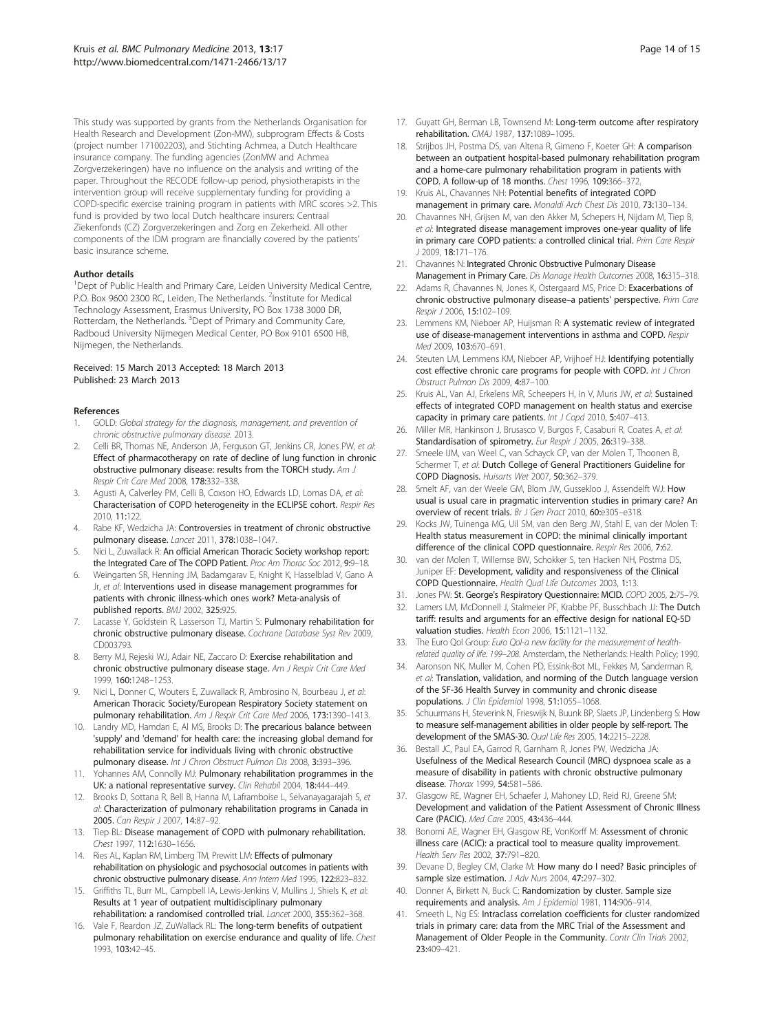<span id="page-13-0"></span>This study was supported by grants from the Netherlands Organisation for Health Research and Development (Zon-MW), subprogram Effects & Costs (project number 171002203), and Stichting Achmea, a Dutch Healthcare insurance company. The funding agencies (ZonMW and Achmea Zorgverzekeringen) have no influence on the analysis and writing of the paper. Throughout the RECODE follow-up period, physiotherapists in the intervention group will receive supplementary funding for providing a COPD-specific exercise training program in patients with MRC scores >2. This fund is provided by two local Dutch healthcare insurers: Centraal Ziekenfonds (CZ) Zorgverzekeringen and Zorg en Zekerheid. All other components of the IDM program are financially covered by the patients' basic insurance scheme.

#### Author details

<sup>1</sup>Dept of Public Health and Primary Care, Leiden University Medical Centre, P.O. Box 9600 2300 RC, Leiden, The Netherlands. <sup>2</sup>Institute for Medical Technology Assessment, Erasmus University, PO Box 1738 3000 DR, Rotterdam, the Netherlands. <sup>3</sup>Dept of Primary and Community Care, Radboud University Nijmegen Medical Center, PO Box 9101 6500 HB, Nijmegen, the Netherlands.

#### Received: 15 March 2013 Accepted: 18 March 2013 Published: 23 March 2013

#### References

- GOLD: Global strategy for the diagnosis, management, and prevention of chronic obstructive pulmonary disease. 2013.
- Celli BR, Thomas NE, Anderson JA, Ferguson GT, Jenkins CR, Jones PW, et al: Effect of pharmacotherapy on rate of decline of lung function in chronic obstructive pulmonary disease: results from the TORCH study. Am J Respir Crit Care Med 2008, 178:332–338.
- 3. Agusti A, Calverley PM, Celli B, Coxson HO, Edwards LD, Lomas DA, et al: Characterisation of COPD heterogeneity in the ECLIPSE cohort. Respir Res 2010, 11:122.
- 4. Rabe KF, Wedzicha JA: Controversies in treatment of chronic obstructive pulmonary disease. Lancet 2011, 378:1038–1047.
- 5. Nici L, Zuwallack R: An official American Thoracic Society workshop report: the Integrated Care of The COPD Patient. Proc Am Thorac Soc 2012, 9:9-18.
- 6. Weingarten SR, Henning JM, Badamgarav E, Knight K, Hasselblad V, Gano A Jr, et al: Interventions used in disease management programmes for patients with chronic illness-which ones work? Meta-analysis of published reports. BMJ 2002, 325:925.
- 7. Lacasse Y, Goldstein R, Lasserson TJ, Martin S: Pulmonary rehabilitation for chronic obstructive pulmonary disease. Cochrane Database Syst Rev 2009, CD003793.
- Berry MJ, Rejeski WJ, Adair NE, Zaccaro D: Exercise rehabilitation and chronic obstructive pulmonary disease stage. Am J Respir Crit Care Med 1999, 160:1248–1253.
- Nici L, Donner C, Wouters E, Zuwallack R, Ambrosino N, Bourbeau J, et al: American Thoracic Society/European Respiratory Society statement on pulmonary rehabilitation. Am J Respir Crit Care Med 2006, 173:1390-1413.
- 10. Landry MD, Hamdan E, Al MS, Brooks D: The precarious balance between 'supply' and 'demand' for health care: the increasing global demand for rehabilitation service for individuals living with chronic obstructive pulmonary disease. Int J Chron Obstruct Pulmon Dis 2008, 3:393-396.
- 11. Yohannes AM, Connolly MJ: Pulmonary rehabilitation programmes in the UK: a national representative survey. Clin Rehabil 2004, 18:444-449.
- 12. Brooks D, Sottana R, Bell B, Hanna M, Laframboise L, Selvanayagarajah S, et al: Characterization of pulmonary rehabilitation programs in Canada in 2005. Can Respir J 2007, 14:87–92.
- 13. Tiep BL: Disease management of COPD with pulmonary rehabilitation. Chest 1997, 112:1630–1656.
- 14. Ries AL, Kaplan RM, Limberg TM, Prewitt LM: Effects of pulmonary rehabilitation on physiologic and psychosocial outcomes in patients with chronic obstructive pulmonary disease. Ann Intern Med 1995, 122:823–832.
- 15. Griffiths TL, Burr ML, Campbell IA, Lewis-Jenkins V, Mullins J, Shiels K, et al: Results at 1 year of outpatient multidisciplinary pulmonary rehabilitation: a randomised controlled trial. Lancet 2000, 355:362–368.
- 16. Vale F, Reardon JZ, ZuWallack RL: The long-term benefits of outpatient pulmonary rehabilitation on exercise endurance and quality of life. Chest 1993, 103:42–45.
- 17. Guyatt GH, Berman LB, Townsend M: Long-term outcome after respiratory rehabilitation. CMAJ 1987, 137:1089–1095.
- 18. Strijbos JH, Postma DS, van Altena R, Gimeno F, Koeter GH: A comparison between an outpatient hospital-based pulmonary rehabilitation program and a home-care pulmonary rehabilitation program in patients with COPD. A follow-up of 18 months. Chest 1996, 109:366–372.
- 19. Kruis AL, Chavannes NH: Potential benefits of integrated COPD management in primary care. Monaldi Arch Chest Dis 2010, 73:130–134.
- 20. Chavannes NH, Grijsen M, van den Akker M, Schepers H, Nijdam M, Tiep B, et al: Integrated disease management improves one-year quality of life in primary care COPD patients: a controlled clinical trial. Prim Care Respir J 2009, 18:171–176.
- 21. Chavannes N: Integrated Chronic Obstructive Pulmonary Disease Management in Primary Care. Dis Manage Health Outcomes 2008, 16:315–318.
- 22. Adams R, Chavannes N, Jones K, Ostergaard MS, Price D: Exacerbations of chronic obstructive pulmonary disease–a patients' perspective. Prim Care Respir J 2006, 15:102–109.
- 23. Lemmens KM, Nieboer AP, Huijsman R: A systematic review of integrated use of disease-management interventions in asthma and COPD. Respir Med 2009, 103:670–691.
- 24. Steuten LM, Lemmens KM, Nieboer AP, Vrijhoef HJ: Identifying potentially cost effective chronic care programs for people with COPD. Int J Chron Obstruct Pulmon Dis 2009, 4:87–100.
- 25. Kruis AL, Van AJ, Erkelens MR, Scheepers H, In V, Muris JW, et al: Sustained effects of integrated COPD management on health status and exercise capacity in primary care patients. Int J Copd 2010, 5:407-413.
- 26. Miller MR, Hankinson J, Brusasco V, Burgos F, Casaburi R, Coates A, et al: Standardisation of spirometry. Eur Respir J 2005, 26:319-338.
- 27. Smeele IJM, van Weel C, van Schayck CP, van der Molen T, Thoonen B, Schermer T, et al: Dutch College of General Practitioners Guideline for COPD Diagnosis. Huisarts Wet 2007, 50:362–379.
- 28. Smelt AF, van der Weele GM, Blom JW, Gussekloo J, Assendelft WJ: How usual is usual care in pragmatic intervention studies in primary care? An overview of recent trials. Br J Gen Pract 2010, 60:e305–e318.
- 29. Kocks JW, Tuinenga MG, Uil SM, van den Berg JW, Stahl E, van der Molen T: Health status measurement in COPD: the minimal clinically important difference of the clinical COPD questionnaire. Respir Res 2006, 7:62.
- 30. van der Molen T, Willemse BW, Schokker S, ten Hacken NH, Postma DS, Juniper EF: Development, validity and responsiveness of the Clinical COPD Questionnaire. Health Qual Life Outcomes 2003, 1:13.
- 31. Jones PW: St. George's Respiratory Questionnaire: MCID. COPD 2005, 2:75–79.
- 32. Lamers LM, McDonnell J, Stalmeier PF, Krabbe PF, Busschbach JJ: The Dutch tariff: results and arguments for an effective design for national EQ-5D valuation studies. Health Econ 2006, 15:1121-1132.
- 33. The Euro Qol Group: Euro Qol-a new facility for the measurement of healthrelated quality of life. 199–208. Amsterdam, the Netherlands: Health Policy; 1990.
- 34. Aaronson NK, Muller M, Cohen PD, Essink-Bot ML, Fekkes M, Sanderman R, et al: Translation, validation, and norming of the Dutch language version of the SF-36 Health Survey in community and chronic disease populations. J Clin Epidemiol 1998, 51:1055–1068.
- 35. Schuurmans H, Steverink N, Frieswijk N, Buunk BP, Slaets JP, Lindenberg S: How to measure self-management abilities in older people by self-report. The development of the SMAS-30. Qual Life Res 2005, 14:2215–2228.
- 36. Bestall JC, Paul EA, Garrod R, Garnham R, Jones PW, Wedzicha JA: Usefulness of the Medical Research Council (MRC) dyspnoea scale as a measure of disability in patients with chronic obstructive pulmonary disease. Thorax 1999, 54:581–586.
- 37. Glasgow RE, Wagner EH, Schaefer J, Mahoney LD, Reid RJ, Greene SM: Development and validation of the Patient Assessment of Chronic Illness Care (PACIC). Med Care 2005, 43:436–444.
- 38. Bonomi AE, Wagner EH, Glasgow RE, VonKorff M: Assessment of chronic illness care (ACIC): a practical tool to measure quality improvement. Health Serv Res 2002, 37:791–820.
- 39. Devane D, Begley CM, Clarke M: How many do I need? Basic principles of sample size estimation. J Adv Nurs 2004, 47:297-302.
- 40. Donner A, Birkett N, Buck C: Randomization by cluster. Sample size requirements and analysis. Am J Epidemiol 1981, 114:906–914.
- 41. Smeeth L, Ng ES: Intraclass correlation coefficients for cluster randomized trials in primary care: data from the MRC Trial of the Assessment and Management of Older People in the Community. Contr Clin Trials 2002, 23:409–421.